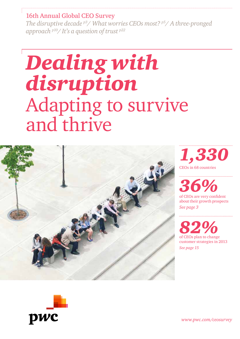### 16th Annual Global CEO Survey

*The disruptive decade p3/ What worries CEOs most? p5/ A three-pronged approach p10/ It's a question of trust p22*

# *Dealing with disruption* Adapting to survive and thrive





*www.pwc.com/ceosurvey*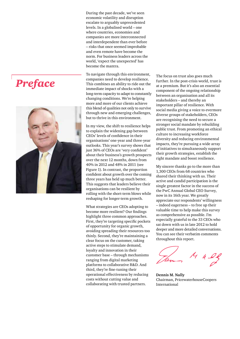# *Preface*



During the past decade, we've seen economic volatility and disruption escalate to arguably unprecedented levels. In a globalised world – one where countries, economies and companies are more interconnected and interdependent than ever before – risks that once seemed improbable and even remote have become the norm. For business leaders across the world, 'expect the unexpected' has become the mantra.

To navigate through this environment, companies need to develop resilience. This combines an ability to ride out the immediate impact of shocks with a long-term capacity to adapt to constantly changing conditions. We're helping more and more of our clients achieve this blend of qualities not only to survive through new and emerging challenges, but to thrive in this environment.

In my view, the shift to resilience helps to explain the widening gap between CEOs' levels of confidence in their organisations' one-year and three-year outlooks. This year's survey shows that just 36% of CEOs are 'very confident' about their business's growth prospects over the next 12 months, down from 40% in 2012 and 48% in 2011 (see Figure 1). In contrast, the proportion confident about growth over the coming three years has held up much better. This suggests that leaders believe their organisations can be resilient by rolling with the short-term blows while reshaping for longer-term growth.

What strategies are CEOs adopting to become more resilient? Our findings highlight three common approaches. First, they're targeting specific pockets of opportunity for organic growth, avoiding spreading their resources too thinly. Second, they're maintaining a clear focus on the customer, taking active steps to stimulate demand, loyalty and innovation in their customer base – through mechanisms ranging from digital marketing platforms to collaborative R&D. And third, they're fine-tuning their operational effectiveness by reducing costs without cutting value and collaborating with trusted partners.

The focus on trust also goes much further. In the post-crisis world, trust is at a premium. But it's also an essential component of the ongoing relationship between an organisation and all its stakeholders – and thereby an important pillar of resilience. With social media giving a voice to evermore diverse groups of stakeholders, CEOs are recognising the need to secure a stronger social mandate by rebuilding public trust. From promoting an ethical culture to increasing workforce diversity and reducing environmental impacts, they're pursuing a wide array of initiatives to simultaneously support their growth strategies, establish the right mandate and boost resilience.

My sincere thanks go to the more than 1,300 CEOs from 68 countries who shared their thinking with us. Their active and candid participation is the single greatest factor in the success of the PwC Annual Global CEO Survey, now in its 16th year. We greatly appreciate our respondents' willingness – indeed eagerness – to free up their valuable time to help make this survey as comprehensive as possible. I'm especially grateful to the 33 CEOs who sat down with us in late 2012 to hold deeper and more detailed conversations. You can see their verbatim comments throughout this report.

**Dennis M. Nally** Chairman, PricewaterhouseCoopers International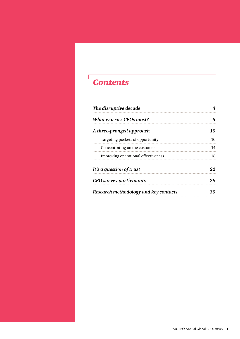### *Contents*

 $\sqrt{ }$ 

| The disruptive decade                 |    |
|---------------------------------------|----|
| <b>What worries CEOs most?</b>        |    |
| A three-pronged approach              | 10 |
| Targeting pockets of opportunity      | 10 |
| Concentrating on the customer         | 14 |
| Improving operational effectiveness   | 18 |
| It's a question of trust              | 22 |
| CEO survey participants               | 28 |
| Research methodology and key contacts |    |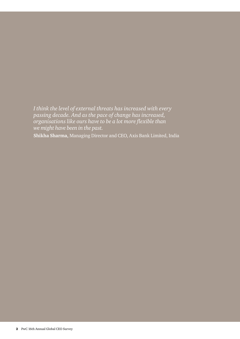*I think the level of external threats has increased with every passing decade. And as the pace of change has increased, organisations like ours have to be a lot more flexible than we might have been in the past.* **Shikha Sharma,** Managing Director and CEO, Axis Bank Limited, India

2 PwC 16th Annual Global CEO Survey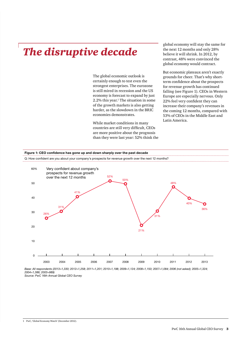## *The disruptive decade*

The global economic outlook is certainly enough to test even the strongest enterprises. The eurozone is still mired in recession and the US economy is forecast to expand by just  $2.2\%$  this year.<sup>1</sup> The situation in some of the growth markets is also getting harder, as the slowdown in the BRIC economies demonstrates.

While market conditions in many countries are still very difficult, CEOs are more positive about the prognosis than they were last year: 52% think the

global economy will stay the same for the next 12 months and only 28% believe it will shrink. In 2012, by contrast, 48% were convinced the global economy would contract.

But economic plateaux aren't exactly grounds for cheer. That's why shortterm confidence about the prospects for revenue growth has continued falling (see Figure 1). CEOs in Western Europe are especially nervous. Only 22% feel very confident they can increase their company's revenues in the coming 12 months, compared with 53% of CEOs in the Middle East and Latin America.



*2004=1,386; 2003=989) Source: PwC 16th Annual Global CEO Survey*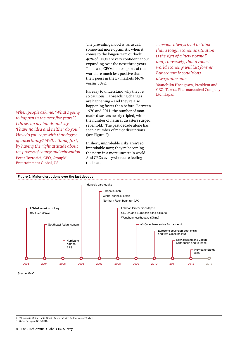The prevailing mood is, as usual, somewhat more optimistic when it comes to the longer-term outlook: 46% of CEOs are very confident about expanding over the next three years. That said, CEOs in most parts of the world are much less positive than their peers in the E7 markets (46% versus 58%).2

It's easy to understand why they're so cautious. Far-reaching changes are happening – and they're also happening faster than before. Between 1970 and 2011, the number of manmade disasters nearly tripled, while the number of natural disasters surged sevenfold.<sup>3</sup> The past decade alone has seen a number of major disruptions (see Figure 2).

In short, improbable risks aren't so improbable now; they're becoming the norm in a more uncertain world. And CEOs everywhere are feeling the heat.

*…people always tend to think that a tough economic situation is the sign of a 'new normal' and, conversely, that a robust world economy will last forever. But economic conditions always alternate.* 

**Yasuchika Hasegawa,** President and CEO, Takeda Pharmaceutical Company Ltd., Japan

*by having the right attitude about the process of change and reinvention.* **Peter Tortorici,** CEO, GroupM Entertainment Global, US

*When people ask me, 'What's going to happen in the next five years?', I throw up my hands and say 'I have no idea and neither do you.' How do you cope with that degree of uncertainty? Well, I think, first,* 





*Source: PwC*

3 Swiss Re, *sigma* No 2/2012.

<sup>2</sup> E7 markets: China, India, Brazil, Russia, Mexico, Indonesia and Turkey.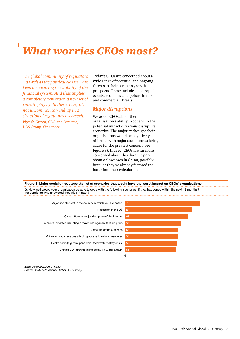### *What worries CEOs most?*

*The global community of regulators – as well as the political classes – are keen on ensuring the stability of the financial system. And that implies a completely new order, a new set of rules to play by. In these cases, it's not uncommon to wind up in a situation of regulatory overreach.*  **Piyush Gupta,** CEO and Director, DBS Group, Singapore

Today's CEOs are concerned about a wide range of potential and ongoing threats to their business growth prospects. These include catastrophic events, economic and policy threats and commercial threats.

#### *Major disruptions*

We asked CEOs about their organisation's ability to cope with the potential impact of various disruptive scenarios. The majority thought their organisations would be negatively affected, with major social unrest being cause for the greatest concern (see Figure 3). Indeed, CEOs are far more concerned about this than they are about a slowdown in China, possibly because they've already factored the latter into their calculations.

**Figure 3: Major social unrest tops the list of scenarios that would have the worst impact on CEOs' organisations**

Q: How well would your organisation be able to cope with the following scenarios, if they happened within the next 12 months? (respondents who answered 'negative impact')



*Base: All respondents (1,330) Source: PwC 16th Annual Global CEO Survey*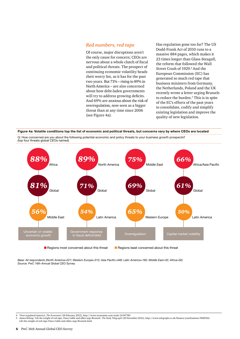#### *Red numbers, red tape*

Of course, major disruptions aren't the only cause for concern; CEOs are nervous about a whole clutch of fiscal and political threats. The prospect of continuing economic volatility heads their worry list, as it has for the past two years. But 71% – rising to 89% in North America – are also concerned about how debt-laden governments will try to address growing deficits. And 69% are anxious about the risk of overregulation, now seen as a bigger threat than at any time since 2006 (see Figure 4a).

Has regulation gone too far? The US Dodd-Frank Act of 2010 runs to a massive 884 pages, which makes it 23 times longer than Glass-Steagall, the reform that followed the Wall Street Crash of 1929.<sup>4</sup> And the European Commission (EC) has generated so much red tape that business ministers from Germany, the Netherlands, Poland and the UK recently wrote a letter urging Brussels to reduce the burden.<sup>5</sup> This is in spite of the EC's efforts of the past years to consolidate, codify and simplify existing legislation and improve the quality of new legislation.



Q: How concerned are you about the following potential economic and policy threats to your business growth prospects?



*Base: All respondents (North America=227; Western Europe=312; Asia Pacific=449; Latin America=165; Middle East=32; Africa=50) Source: PwC 16th Annual Global CEO Survey*

<sup>4</sup> 'Over-regulated America', *The Economist* (18 February 2012), http://www.economist.com/node/21547789

<sup>/5</sup> James Kirkup, 'Lift the weight of red tape, Vince Cable and allies urge Brussels', *The Daily Telegraph* (20 November 2012), http://www.telegraph.co.uk/finance/yourbusiness/9689165<br>Lift-the-weight-of-red-tape-Vince-Cabl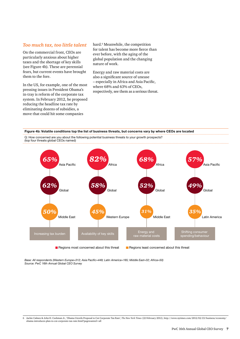#### *Too much tax, too little talent*

On the commercial front, CEOs are particularly anxious about higher taxes and the shortage of key skills (see Figure 4b). These are perennial fears, but current events have brought them to the fore.

In the US, for example, one of the most pressing issues in President Obama's in-tray is reform of the corporate tax system. In February 2012, he proposed reducing the headline tax rate by eliminating dozens of subsidies, a move that could hit some companies

hard.<sup>6</sup> Meanwhile, the competition for talent has become more fierce than ever before, with the aging of the global population and the changing nature of work.

Energy and raw material costs are also a significant source of unease – especially in Africa and Asia Pacific, where 68% and 63% of CEOs, respectively, see them as a serious threat.

#### **Figure 4b: Volatile conditions top the list of business threats, but concerns vary by where CEOs are located**

Q: How concerned are you about the following potential business threats to your growth prospects? (top four threats global CEOs named)



*Base: All respondents (Western Europe=312; Asia Pacific=449; Latin America=165; Middle East=32; Africa=50) Source: PwC 16th Annual Global CEO Survey*

<sup>6</sup> Jackie Calmes & John H. Cushman Jr., 'Obama Unveils Proposal to Cut Corporate Tax Rate', *The New York Times* (22 February 2012), http://www.nytimes.com/2012/02/23/business/economy/ obama-introduces-plan-to-cut-corporate-tax-rate.html?pagewanted=all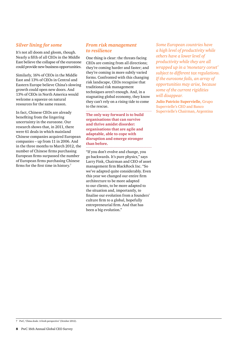#### *Silver lining for some*

It's not all doom and gloom, though. Nearly a fifth of all CEOs in the Middle East believe the collapse of the eurozone could provide new business opportunities.

Similarly, 16% of CEOs in the Middle East and 13% of CEOs in Central and Eastern Europe believe China's slowing growth could open new doors. And 13% of CEOs in North America would welcome a squeeze on natural resources for the same reason.

In fact, Chinese CEOs are already benefiting from the lingering uncertainty in the eurozone. Our research shows that, in 2011, there were 61 deals in which mainland Chinese companies acquired European companies – up from 11 in 2006. And in the three months to March 2012, the number of Chinese firms purchasing European firms surpassed the number of European firms purchasing Chinese firms for the first time in history.<sup>7</sup>

#### *From risk management to resilience*

One thing is clear: the threats facing CEOs are coming from all directions; they're coming harder and faster; and they're coming in more subtly varied forms. Confronted with this changing risk landscape, CEOs recognise that traditional risk management techniques aren't enough. And, in a stagnating global economy, they know they can't rely on a rising tide to come to the rescue.

**The only way forward is to build organisations that can survive and thrive amidst disorder: organisations that are agile and adaptable, able to cope with disruption and emerge stronger than before.** . . . . . . . . . . . . . . . . . . .

"If you don't evolve and change, you go backwards. It's pure physics," says Larry Fink, Chairman and CEO of asset management firm BlackRock Inc. "So we've adapted quite considerably. Even this year we changed our entire firm architecture to be more adapted to our clients, to be more adapted to the situation and, importantly, to finalise our evolution from a founders' culture firm to a global, hopefully entrepreneurial firm. And that has been a big evolution."

*Some European countries have a high level of productivity while others have a lower level of productivity while they are all wrapped up in a 'monetary corset' subject to different tax regulations. If the eurozone fails, an array of opportunities may arise, because some of the current rigidities will disappear.* 

**Julio Patricio Supervielle,** Grupo Supervielle's CEO and Banco Supervielle's Chairman, Argentina

<sup>7</sup> PwC, 'China deals: A fresh perspective' (October 2012).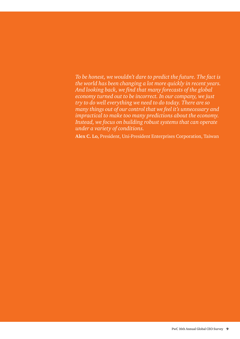*To be honest, we wouldn't dare to predict the future. The fact is the world has been changing a lot more quickly in recent years. And looking back, we find that many forecasts of the global economy turned out to be incorrect. In our company, we just try to do well everything we need to do today. There are so many things out of our control that we feel it's unnecessary and impractical to make too many predictions about the economy. Instead, we focus on building robust systems that can operate under a variety of conditions.*

**Alex C. Lo,** President, Uni-President Enterprises Corporation, Taiwan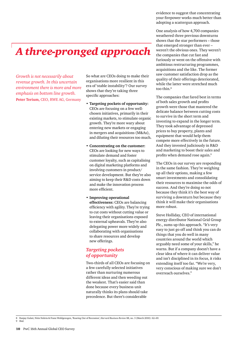# *A three-pronged approach*

*Growth is not necessarily about revenue growth. In this uncertain environment there is more and more emphasis on bottom line growth.*  **Peter Terium,** CEO, RWE AG, Germany

So what are CEOs doing to make their organisations more resilient in this era of 'stable instability'? Our survey shows that they're taking three specific approaches:

- **Targeting pockets of opportunity:**  CEOs are focusing on a few wellchosen initiatives, primarily in their existing markets, to stimulate organic growth. They're more wary about entering new markets or engaging in mergers and acquisitions (M&As), and diluting their resources too much.
- **Concentrating on the customer:** CEOs are looking for new ways to stimulate demand and foster customer loyalty, such as capitalising on digital marketing platforms and involving customers in product/ service development. But they're also aiming to keep their R&D costs down and make the innovation process more efficient.
- **Improving operational effectiveness:** CEOs are balancing efficiency with agility. They're trying to cut costs without cutting value or leaving their organisations exposed to external upheavals. They're also delegating power more widely and collaborating with organisations to share resources and develop new offerings.

#### *Targeting pockets of opportunity*

Two-thirds of all CEOs are focusing on a few carefully selected initiatives rather than nurturing numerous different ideas and then weeding out the weakest. That's easier said than done because every business unit naturally thinks its plans should take precedence. But there's considerable

evidence to suggest that concentrating your firepower works much better than adopting a scattergun approach.

One analysis of how 4,700 companies weathered three previous downturns shows that the star performers – those that emerged stronger than ever – weren't the obvious ones. They weren't the companies that cut fast and furiously or went on the offensive with ambitious restructuring programmes, acquisitions and the like. The former saw customer satisfaction drop as the quality of their offerings deteriorated, while the latter were stretched much too thin.<sup>8</sup>

The companies that fared best in terms of both sales growth and profits growth were those that mastered the delicate balance between cutting costs to survive in the short term and investing to expand in the longer term. They took advantage of depressed prices to buy property, plants and equipment that would help them compete more effectively in the future. And they invested judiciously in R&D and marketing to boost their sales and profits when demand rose again.<sup>9</sup>

The CEOs in our survey are responding in the same fashion. They're weighing up all their options, making a few smart investments and consolidating their resources to maximise the odds of success. And they're doing so not because they think it's the best way of surviving a downturn but because they think it will make their organisations more robust.

Steve Holliday, CEO of international energy distributor National Grid Group Plc., sums up this approach. "It's very easy to just go off and think you can do things that you do well in many countries around the world which arguably need some of your skills," he warns. But if a company doesn't have a clear idea of where it can deliver value and isn't disciplined in its focus, it risks extending itself too far. "We're very, very conscious of making sure we don't overreach ourselves."

<sup>8</sup> Ranjay Gulati, Nitin Nohria & Franz Wohlgezogen, 'Roaring Out of Recession', *Harvard Business Review* 88, no. 3 (March 2010): 62–69. 9 Ibid.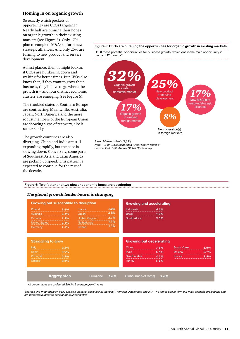#### **Homing in on organic growth**

So exactly which pockets of opportunity are CEOs targeting? Nearly half are pinning their hopes on organic growth in their existing markets (see Figure 5). Only 17% plan to complete M&As or form new strategic alliances. And only 25% are turning to new product and service development.

At first glance, then, it might look as if CEOs are hunkering down and waiting for better times. But CEOs also know that, if they want to grow their business, they'll have to go where the growth is – and four distinct economic clusters are emerging (see Figure 6).

The troubled states of Southern Europe are contracting. Meanwhile, Australia, Japan, North America and the more robust members of the European Union are showing signs of recovery, albeit rather shaky.

The growth countries are also diverging. China and India are still expanding rapidly, but the pace is slowing down. Conversely, some parts of Southeast Asia and Latin America are picking up speed. This pattern is expected to continue for the rest of the decade.

### **Figure 5: CEOs are pursuing the opportunities for organic growth in existing markets**

Q: Of these potential opportunities for business growth, which one is the main opportunity in the next 12 months?



*Base: All respondents (1,330) Note: 1% of CEOs responded 'Don't know/Refused' Source: PwC 16th Annual Global CEO Survey*

**Figure 6: Two faster and two slower economic lanes are developing**

#### *The global growth leaderboard is changing*

| Japan 0.9%<br>Australia<br><b>Brazil</b><br><u>il 4.0%</u><br>United Kingdom 2.1%<br>anada 2.3%<br><b>South Africa South Africa</b><br>3.6%<br>Canada<br>Netherlands 1.1%<br>United States 2.4%<br>2.2%<br>Ireland<br>$1.3\%$<br><b>Growing but decelerating</b><br>South Korea<br>$\overline{\phantom{0}}$ $\overline{\phantom{0}}$ $\overline{\phantom{0}}$ $\overline{\phantom{0}}$ $\overline{\phantom{0}}$ $\overline{\phantom{0}}$ $\overline{\phantom{0}}$ $\overline{\phantom{0}}$ $\overline{\phantom{0}}$ $\overline{\phantom{0}}$ $\overline{\phantom{0}}$ $\overline{\phantom{0}}$ $\overline{\phantom{0}}$ $\overline{\phantom{0}}$ $\overline{\phantom{0}}$ $\overline{\phantom{0}}$ $\overline{\phantom{0}}$ $\overline{\phantom{0}}$ $\overline{\$<br>China<br>7.3%<br> |      |
|-----------------------------------------------------------------------------------------------------------------------------------------------------------------------------------------------------------------------------------------------------------------------------------------------------------------------------------------------------------------------------------------------------------------------------------------------------------------------------------------------------------------------------------------------------------------------------------------------------------------------------------------------------------------------------------------------------------------------------------------------------------------------------------------|------|
|                                                                                                                                                                                                                                                                                                                                                                                                                                                                                                                                                                                                                                                                                                                                                                                         |      |
|                                                                                                                                                                                                                                                                                                                                                                                                                                                                                                                                                                                                                                                                                                                                                                                         |      |
| Germany                                                                                                                                                                                                                                                                                                                                                                                                                                                                                                                                                                                                                                                                                                                                                                                 |      |
| <b>Struggling to grow</b><br>Italy                                                                                                                                                                                                                                                                                                                                                                                                                                                                                                                                                                                                                                                                                                                                                      |      |
|                                                                                                                                                                                                                                                                                                                                                                                                                                                                                                                                                                                                                                                                                                                                                                                         | 3.6% |
| Spain 0.9%<br>India $\overline{6.6\%}$<br>Mexico                                                                                                                                                                                                                                                                                                                                                                                                                                                                                                                                                                                                                                                                                                                                        | 3.7% |
| Saudi Arabia<br><b>Russia</b><br>Portugal <b>0.5%</b><br>                                                                                                                                                                                                                                                                                                                                                                                                                                                                                                                                                                                                                                                                                                                               | 3.8% |
| Turkey 5.1%<br>Greece<br>$\overline{a}$ $\overline{a}$ $\overline{a}$ $\overline{a}$ $\overline{a}$ $\overline{a}$ $\overline{a}$ $\overline{a}$ $\overline{a}$ $\overline{a}$ $\overline{a}$ $\overline{a}$ $\overline{a}$ $\overline{a}$ $\overline{a}$ $\overline{a}$ $\overline{a}$ $\overline{a}$ $\overline{a}$ $\overline{a}$ $\overline{a}$ $\overline{a}$ $\overline{a}$ $\overline{a}$ $\overline{$                                                                                                                                                                                                                                                                                                                                                                           |      |

*All percentages are projected 2013-15 average growth rates*

*Sources and methodology: PwC analysis, national statistical authorities, Thomson Datastream and IMF. The tables above form our main scenario projections and are therefore subject to considerable uncertainties.*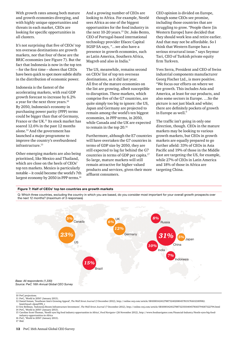With growth rates among both mature and growth economies diverging, and with highly unique opportunities and threats in each market, CEOs are looking for specific opportunities in all clusters.

It's not surprising that five of CEOs' top ten overseas destinations are growth markets, nor that four of these are the BRIC economies (see Figure 7). But the fact that Indonesia is now in the top ten – for the first time – shows that CEOs have been quick to spot more subtle shifts in the distribution of economic power.

Indonesia is the fastest of the accelerating markets, with real GDP growth forecast to increase by 6.2% a year for the next three years.10 By 2050, Indonesia's economy in purchasing power parity (PPP) terms could be bigger than that of Germany, France or the UK.<sup>11</sup> Its stock market has soared 12.6% in the past 12 months alone.12 And the government has launched a major programme to improve the country's overburdened infrastructure.<sup>13</sup>

Other emerging markets are also being prioritised, like Mexico and Thailand, which are close on the heels of CEOs' top ten markets. Mexico is particularly notable – it could become the world's 7th largest economy by 2050 in PPP terms.<sup>14</sup> And a growing number of CEOs are looking to Africa. For example, Nestlé sees Africa as one of the biggest opportunities for the food industry in the next 10-20 years.<sup>15</sup> Dr. João Bento, CEO of Portugal-based international technology provider Efacec Capital SGSP SA says, "…we also have a presence in growth economies, such as Latin America, Southern Africa, Magreb and also in India."

The US, meanwhile, remains second on CEOs' list of top ten overseas destinations, as it did last year. All five of the mature economies on the list are growing, albeit susceptible to disruption. These markets, which comprise five of the G7 countries, are quite simply too big to ignore: the US, Japan and Germany are projected to remain among the world's ten biggest economies, in PPP terms, in 2050, while Canada and the UK are expected to remain in the top 20.16

Furthermore, although the E7 countries will have overtaken the G7 countries in terms of GDP size by 2050, they are still expected to lag far behind the G7 countries in terms of GDP per capita.17 So large, mature markets will still remain attractive for higher valued products and services, given their more affluent consumers.

CEO opinion is divided on Europe, though some CEOs see promise, including those countries that are struggling to grow. "People there [in Western Europe] have decided that they should work less and retire earlier. And that may not be affordable. So I think that Western Europe has a serious structural issue." says Seymur Tari, CEO of Turkish private equity firm Turkven.

Yves Serra, President and CEO of Swiss industrial components manufacturer Georg Fischer Ltd., is more positive. "We focus our efforts on where we see growth. This includes Asia and America, at least for our products, and also some sectors in Europe. …So the picture is not just black and white; there are definitely pockets of growth in Europe as well."

The traffic isn't going in only one direction, though. CEOs in the mature markets may be looking to various growth markets, but CEOs in growth markets are equally prepared to go further afield: 33% of CEOs in Asia Pacific and 19% of those in the Middle East are targeting the US, for example, while 27% of CEOs in Latin America and 18% of those in Africa are targeting China.

#### **Figure 7: Half of CEOs' top ten countries are growth markets**

Q: Which three countries, excluding the country in which you are based, do you consider most important for your overall growth prospects over the next 12 months? (maximum of 3 responses)



10 PwC projections.

- 12 Daniel Inman, 'Southeast Asia's Growing Appeal', *The Wall Street Journal* (3 December 2012), http://online.wsj.com/article/SB10001424127887324020804578151761632189982. html#mod=djemITPE\_t
- 13 Eric Bellman, 'Indonesia Boosts Infrastructure Investment', *The Wall Street Journal* (7 December 2012), http://online.wsj.com/article/SB10001424127887323501404578165794187322794.html

- 16 PwC, 'World in 2050' (January 2013).
- 17 Ibid.

<sup>11</sup> PwC, 'World in 2050' (January 2013).

<sup>14</sup> PwC, 'World in 2050' (January 2013). 15 Caroline Scott-Thomas, 'Nestlé eyes big food industry opportunities in Africa', *Food Navigator* (26 November 2012), http://www.foodnavigator.com/Financial-Industry/Nestle-eyes-big-foodindustry-opportunities-in-Africa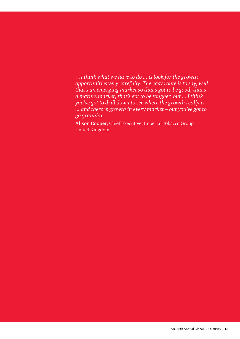*…I think what we have to do ... is look for the growth opportunities very carefully. The easy route is to say, well that's an emerging market so that's got to be good, that's a mature market, that's got to be tougher, but ... I think you've got to drill down to see where the growth really is. ... and there* is *growth in every market – but you've got to go granular.*

**Alison Cooper,** Chief Executive, Imperial Tobacco Group, United Kingdom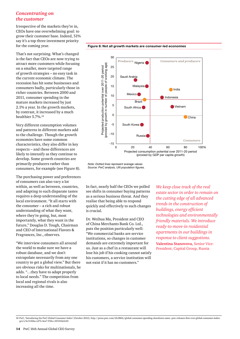#### *Concentrating on the customer*

Irrespective of the markets they're in, CEOs have one overwhelming goal: to grow their customer base. Indeed, 51% say it's a top three investment priority for the coming year.

That's not surprising. What's changed is the fact that CEOs are now trying to attract more customers while focusing on a smaller, more targeted range of growth strategies – no easy task in the current economic climate. The recession has hit some businesses and consumers badly, particularly those in richer countries. Between 2000 and 2011, consumer spending in the mature markets increased by just 2.1% a year. In the growth markets, by contrast, it increased by a much healthier 5.7%.18

Very different consumption volumes and patterns in different markets add to the challenge. Though the growth economies have some common characteristics, they also differ in key respects – and these differences are likely to intensify as they continue to develop. Some growth countries are primarily producers rather than consumers, for example (see Figure 8).

The purchasing power and preferences of consumers can also vary a lot within, as well as between, countries, and adapting to such disparate tastes requires a deep understanding of the local environment. "It all starts with the consumer – a rich and robust understanding of what they want, where they're going, but, most importantly, what they want in the future," Douglas D. Tough, Chairman and CEO of International Flavors & Fragrances, Inc., observes.

"We interview consumers all around the world to make sure we have a robust database, and we don't extrapolate necessarily from any one country to get a global view." But there are obvious risks for multinationals, he adds. "…they have to adapt properly to local needs." The competition from local and regional rivals is also increasing all the time.



**Figure 8: Not all growth markets are consumer-led economies**

In fact, nearly half the CEOs we polled see shifts in consumer buying patterns as a serious business threat. And they realise that being able to respond quickly and effectively to such changes is crucial.

Dr. Weihua Ma, President and CEO of China Merchants Bank Co. Ltd., puts the position particularly well: "We commercial banks are service institutions, so changes in customer demands are extremely important for us. Just as a chef in a restaurant will lose his job if his cooking cannot satisfy his customers, a service institution will not exist if it has no customers."

*We keep close track of the real estate sector in order to remain on the cutting edge of all advanced trends in the construction of buildings, energy efficient technologies and environmentally friendly materials. We introduce ready-to-move-in residential apartments in our buildings in response to client suggestions.* **Valentina Stanovova,** Senior Vice-President, Capital Group, Russia

*Note: Dotted lines represent average values Source: PwC analysis, UN population figures.*

<sup>18</sup> PwC, 'Introducing the PwC Global Consumer Index' (October 2012), http://press.pwc.com/GLOBAL/global-consumer-spending-slowdown-eases.-pwc-releases-first-ever-global-consumer-index $gci/s/bc11166a-cd72-4ea7-93fa-c167d10a5$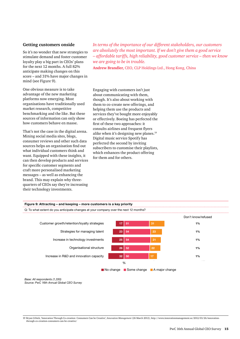#### **Getting customers onside**

So it's no wonder that new strategies to stimulate demand and foster customer loyalty play a big part in CEOs' plans for the next 12 months. A full 82% anticipate making changes on this score – and 31% have major changes in mind (see Figure 9).

One obvious measure is to take advantage of the new marketing platforms now emerging. Most organisations have traditionally used market research, competitive benchmarking and the like. But these sources of information can only show how customers behave en masse.

That's not the case in the digital arena. Mining social media sites, blogs, consumer reviews and other such data sources helps an organisation find out what individual customers think and want. Equipped with these insights, it can then develop products and services for specific customer segments and craft more personalised marketing messages – as well as enhancing the brand. This may explain why threequarters of CEOs say they're increasing their technology investments.

*In terms of the importance of our different stakeholders, our customers are absolutely the most important. If we don't give them a good service – affordable tariffs, high reliability, good customer service – then we know we are going to be in trouble.*

**Andrew Brandler,** CEO, CLP Holdings Ltd., Hong Kong, China

Engaging with customers isn't just about communicating with them, though. It's also about working with them to co-create new offerings, and helping them use the products and services they've bought more enjoyably or effectively. Boeing has perfected the first of these two approaches: it consults airlines and frequent flyers alike when it's designing new planes.19 Digital music service Spotify has perfected the second by inviting subscribers to customise their playlists, which enhances the product offering for them and for others.



*Base: All respondents (1,330) Source: PwC 16th Annual Global CEO Survey*

19 Bryan Urbick, 'Innovation Through Co-creation: Consumers Can be Creative', *Innovation Management* (26 March 2012), http://www.innovationmanagement.se/2012/03/26/innovationthrough-co-creation-consumers-can-be-creative/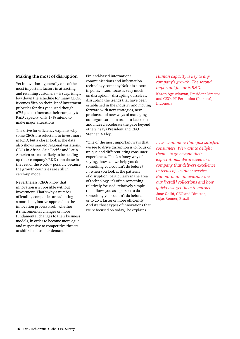#### **Making the most of disruption**

Yet innovation – generally one of the most important factors in attracting and retaining customers – is surprisingly low down the schedule for many CEOs. It comes fifth on their list of investment priorities for this year. And though 67% plan to increase their company's R&D capacity, only 17% intend to make major alterations.

The drive for efficiency explains why some CEOs are reluctant to invest more in R&D, but a closer look at the data also shows marked regional variations. CEOs in Africa, Asia Pacific and Latin America are more likely to be beefing up their company's R&D than those in the rest of the world – possibly because the growth countries are still in catch-up mode.

Nevertheless, CEOs know that innovation isn't possible without investment. That's why a number of leading companies are adopting a more imaginative approach to the innovation process itself, whether it's incremental changes or more fundamental changes to their business models, in order to become more agile and responsive to competitive threats or shifts in customer demand.

Finland-based international communications and information technology company Nokia is a case in point. "…our focus is very much on disruption – disrupting ourselves, disrupting the trends that have been established in the industry and moving forward with new strategies, new products and new ways of managing our organisation in order to keep pace and indeed accelerate the pace beyond others." says President and CEO Stephen A Elop.

"One of the most important ways that we see to drive disruption is to focus on unique and differentiating consumer experiences. That's a fancy way of saying, 'how can we help you do something you couldn't do before?' … when you look at the patterns of disruption, particularly in the area of technology, it's often something relatively focused, relatively simple that allows you as a person to do something you couldn't do before, or to do it faster or more efficiently. And it's those types of innovations that we're focused on today," he explains.

*Human capacity is key to any company's growth. The second important factor is R&D.*  **Karen Agustiawan,** President Director and CEO, PT Pertamina (Persero), Indonesia

*…we want more than just satisfied consumers. We want to delight them – to go beyond their expectations. We are seen as a company that delivers excellence in terms of customer service. But our main innovations are our [retail] collections and how quickly we get them to market.* **José Galló,** CEO and Director, Lojas Renner, Brazil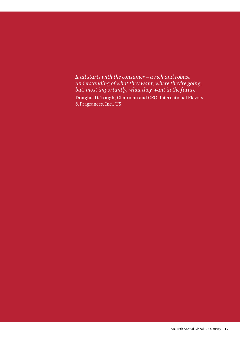*It all starts with the consumer – a rich and robust understanding of what they want, where they're going, but, most importantly, what they want in the future.* **Douglas D. Tough,** Chairman and CEO, International Flavors & Fragrances, Inc., US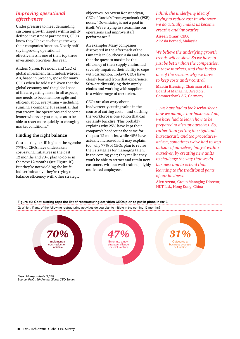#### *Improving operational effectiveness*

Under pressure to meet demanding customer growth targets within tightly defined investment parameters, CEOs know they'll have to change the way their companies function. Nearly half say improving operational effectiveness is one of their top three investment priorities this year.

Anders Nyrén, President and CEO of global investment firm Industrivärden AB, based in Sweden, spoke for many CEOs when he told us: "Given that the global economy and the global pace of life are getting faster in all aspects, one needs to become more agile and efficient about everything – including running a company. It's essential that you streamline operations and become leaner wherever you can, so as to be able to react more quickly to changing market conditions."

#### **Finding the right balance**

Cost-cutting is still high on the agenda: 77% of CEOs have undertaken cost-saving initiatives in the past 12 months and 70% plan to do so in the next 12 months (see Figure 10). But they're not wielding the knife indiscriminately; they're trying to balance efficiency with other strategic

objectives. As Artem Konstandyan, CEO of Russia's Promsvyazbank (PSB), notes, "Downsizing is not a goal in itself. We're trying to streamline our operations and improve staff performance."

An example? Many companies discovered in the aftermath of the tsunamis in Southeast Asia and Japan that the quest to maximise the efficiency of their supply chains had severely impaired their ability to cope with disruption. Today's CEOs have clearly learned from that experience: 50% are diversifying their supply chains and working with suppliers in a wider range of territories.

CEOs are also wary about inadvertently cutting value in the course of cutting costs – and slashing the workforce is one action that can certainly backfire. This probably explains why 25% have kept their company's headcount the same for the past 12 months, while 48% have actually increased it. It may explain, too, why 77% of CEOs plan to revise their strategies for managing talent in the coming year; they realise they won't be able to attract and retain new customers without well-trained, highly motivated employees.

*I think the underlying idea of trying to reduce cost in whatever we do actually makes us become creative and innovative.* **Aireen Omar,** CEO, AirAsia Berhad, Malaysia

*We believe the underlying growth trends will be slow. So we have to just be better than the competition in these markets, and that is also one of the reasons why we have to keep costs under control.*

**Martin Blessing,** Chairman of the Board of Managing Directors, Commerzbank AG, Germany

*…we have had to look seriously at how we manage our business. And, we have had to learn how to be prepared to disrupt ourselves. So, rather than getting too rigid and bureaucratic and too proceduresdriven, sometimes we've had to step outside of ourselves, but yet within ourselves, by creating new units to challenge the way that we do business and to extend that learning to the traditional parts of our business.*

**Alex Arena,** Group Managing Director, HKT Ltd., Hong Kong, China



*Base: All respondents (1,330) Source: PwC 16th Annual Global CEO Survey*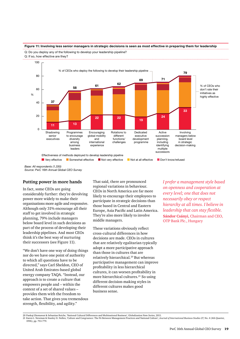#### **Figure 11: Involving less senior managers in strategic decisions is seen as most effective in preparing them for leadership** Q: Do you deploy any of the following to develop your leadership pipeline?

Q: If so, how effective are they?



*Source: PwC 16th Annual Global CEO Survey*

### **Putting power in more hands**

In fact, some CEOs are going considerably further: they're devolving power more widely to make their organisations more agile and responsive. Although only 31% encourage all their staff to get involved in strategic planning, 79% include managers below board level in such decisions as part of the process of developing their leadership pipelines. And most CEOs think it's the best way of nurturing their successors (see Figure 11).

"We don't have one way of doing things nor do we have one point of authority to which all questions have to be directed," says Carl Sheldon, CEO of United Arab Emirates-based global energy company TAQA. "Instead, our approach is to create a culture that empowers people and – within the context of a set of shared values – provides them with the freedom to take action. That gives you tremendous strength, flexibility, and agility."

That said, there are pronounced regional variations in behaviour. CEOs in North America are far more likely to encourage their employees to participate in strategic decisions than those based in Central and Eastern Europe, Asia Pacific and Latin America. They're also more likely to involve middle managers.

These variations obviously reflect cross-cultural differences in how decisions are made. CEOs in cultures that are relatively egalitarian typically adopt a more participative approach than those in cultures that are relatively hierarchical.20 But whereas participative management can improve profitability in less hierarchical cultures, it can worsen profitability in more hierarchical cultures.<sup>21</sup> So using different decision-making styles in different cultures makes good business sense.

*I prefer a management style based on openness and cooperation at every level; one that does not necessarily obey or respect hierarchy at all times. I believe in leadership that can stay flexible.*  **Sándor Csányi,** Chairman and CEO, OTP Bank Plc., Hungary

21 Karen L. Newman & Stanley D. Nollen, 'Culture and Congruence: The Fit Between Management Practices and National Culture', *Journal of International Business Studies* 27, No. 4 (4th Quarter, 1996), pp. 753-779.

<sup>20</sup> Pankaj Ghemawat & Sebastian Reiche, 'National Cultural Differences and Multinational Business', Globalization Note Series, 2011.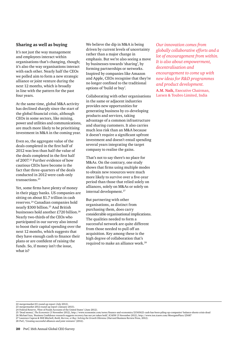#### **Sharing as well as buying**

It's not just the way management and employees interact within organisations that's changing, though; it's also the way organisations interact with each other. Nearly half the CEOs we polled aim to form a new strategic alliance or joint venture during the next 12 months, which is broadly in line with the pattern for the past four years.

At the same time, global M&A activity has declined sharply since the start of the global financial crisis, although CEOs in some sectors, like mining, power and utilities and communications, are much more likely to be prioritising investment in M&A in the coming year.

Even so, the aggregate value of the deals completed in the first half of 2012 was less than half the value of the deals completed in the first half of 2007.<sup>22</sup> Further evidence of how cautious CEOs have become is the fact that three-quarters of the deals conducted in 2012 were cash-only transactions.<sup>23</sup>

Yet, some firms have plenty of money in their piggy banks. US companies are sitting on about \$1.7 trillion in cash reserves.24 Canadian companies hold nearly \$300 billion.25 And British businesses hold another £720 billion.26 Nearly two-thirds of the CEOs who participated in our survey also intend to boost their capital spending over the next 12 months, which suggests that they have enough cash to finance their plans or are confident of raising the funds. So, if money isn't the issue, what is?

We believe the dip in M&A is being driven by current levels of uncertainty rather than a major change in emphasis. But we're also seeing a move by businesses towards 'sharing', by forming partnerships or networks. Inspired by companies like Amazon and Apple, CEOs recognise that they're no longer confined to the traditional options of 'build or buy'.

Collaborating with other organisations in the same or adjacent industries provides new opportunities for generating business by co-developing products and services, taking advantage of a common infrastructure and sharing customers. It also carries much less risk than an M&A because it doesn't require a significant upfront investment and doesn't entail spending several years integrating the target company to realise the gains.

That's not to say there's no place for M&As. On the contrary, one study shows that firms using multiple modes to obtain new resources were much more likely to survive over a five-year period than those that relied solely on alliances, solely on M&As or solely on internal development.<sup>27</sup>

But partnering with other organisations, as distinct from purchasing them, does carry considerable organisational implications. The qualities needed to form a successful network are quite different from those needed to pull off an acquisition. Key among these is the high degree of collaboration that's required to make an alliance work.28

*Our innovation comes from globally collaborative efforts and a lot of encouragement from within. It is also about empowerment, decentralisation and encouragement to come up with new ideas for R&D programmes and product development.* **A.M. Naik,** Executive Chairman,

Larsen & Toubro Limited, India

<sup>22</sup> mergermarket H1 round-up report (July 2012).

<sup>23</sup> mergermarket 2012 round-up report (January 2013). 24 Federal Reserve, 'Flow of Funds Accounts of the United States' (June 2012).

<sup>25</sup> 'Dead money', *The Economist* (3 November 2012), http://www.economist.com/news/finance-and-economics/21565621-cash-has-been-piling-up-companies'-balance-sheets-crisis-dead 26 Michael Izza, 'Business Confidence research suggests recovery has not yet taken hold', ICAEW (5 November 2012), http://www.ion.icaew.com/MoorgatePlace/25687

<sup>27</sup> Laurence Capron & Will Mitchell, *Build, Borrow, or Buy: Solving the Growth Dilemma* (Harvard Business Review Press, 2012). 28 PwC, 'Creating successful alliances and joint ventures' (2012).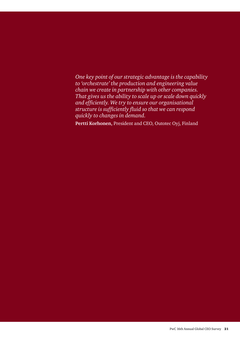*One key point of our strategic advantage is the capability to 'orchestrate' the production and engineering value chain we create in partnership with other companies. That gives us the ability to scale up or scale down quickly and efficiently. We try to ensure our organisational structure is sufficiently fluid so that we can respond quickly to changes in demand.* 

**Pertti Korhonen,** President and CEO, Outotec Oyj, Finland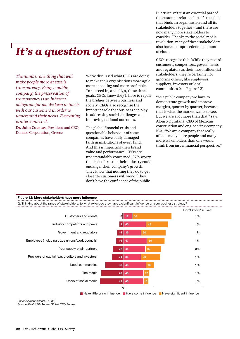But trust isn't just an essential part of the customer relationship, it's the glue that binds an organisation and all its stakeholders together – and there are now many more stakeholders to consider. Thanks to the social media revolution, many of these stakeholders also have an unprecedented amount of clout.

## *It's a question of trust*

*The number one thing that will make people more at ease is transparency. Being a public company, the preservation of transparency is an inherent obligation for us. We keep in touch with our customers in order to understand their needs. Everything is interconnected.* 

**Dr. John Coustas,** President and CEO, Danaos Corporation, Greece

We've discussed what CEOs are doing to make their organisations more agile, more appealing and more profitable. To succeed in, and align, these three goals, CEOs know they'll have to repair the bridges between business and society. CEOs also recognise the important role that business can play in addressing social challenges and improving national outcomes.

The global financial crisis and questionable behaviour of some companies have badly damaged faith in institutions of every kind. And this is impacting their brand value and performance. CEOs are understandably concerned: 37% worry that lack of trust in their industry could endanger their company's growth. They know that nothing they do to get closer to customers will work if they don't have the confidence of the public.

CEOs recognise this. While they regard customers, competitors, governments and regulators as their most influential stakeholders, they're certainly not ignoring others, like employees, suppliers, investors or local communities (see Figure 12).

"As a public company we have to demonstrate growth and improve margins, quarter by quarter, because that is what the market wants to see. But we are a lot more than that," says Alonso Quintana, CEO of Mexican construction and engineering company ICA. "We are a company that really affects many more people and many more stakeholders than one would think from just a financial perspective."

#### **Figure 12: More stakeholders have more influence**

Q: Thinking about the range of stakeholders, to what extent do they have a significant influence on your business strategy?



*Base: All respondents. (1,330) Source: PwC 16th Annual Global CEO Survey*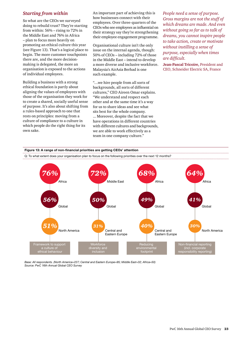#### *Starting from within*

So what are the CEOs we surveyed doing to rebuild trust? They're starting from within: 56% – rising to 72% in the Middle East and 76% in Africa – plan to focus more heavily on promoting an ethical culture this year (see Figure 13). That's a logical place to begin. The more customer touchpoints there are, and the more decisionmaking is delegated, the more an organisation is exposed to the actions of individual employees.

Building a business with a strong ethical foundation is partly about aligning the values of employees with those of the organisation they work for to create a shared, socially useful sense of purpose. It's also about shifting from a rules-based approach to one that rests on principles: moving from a culture of compliance to a culture in which people do the right thing for its own sake.

An important part of achieving this is how businesses connect with their employees. Over three-quarters of the CEOs who see employees as influential on their strategy say they're strengthening their employee engagement programme.

Organisational culture isn't the only issue on the internal agenda, though: 50% of CEOs – including 72% of those in the Middle East – intend to develop a more diverse and inclusive workforce. Malaysia's AirAsia Berhad is one such example.

"…we hire people from all sorts of backgrounds, all sorts of different cultures," CEO Aireen Omar explains. "We understand and respect each other and at the same time it's a way for us to share ideas and see what sits best for the whole company. ... Moreover, despite the fact that we have operations in different countries with different cultures and backgrounds, we are able to work effectively as a team in one company culture."

*People need a sense of purpose. Gross margins are not the stuff of which dreams are made. And even without going so far as to talk of dreams, you cannot inspire people to take action, create or motivate without instilling a sense of purpose, especially when times are difficult.* 

**Jean-Pascal Tricoire,** President and CEO, Schneider Electric SA, France



*Base: All respondents. (North America=227; Central and Eastern Europe=95; Middle East=32; Africa=50) Source: PwC 16th Annual Global CEO Survey*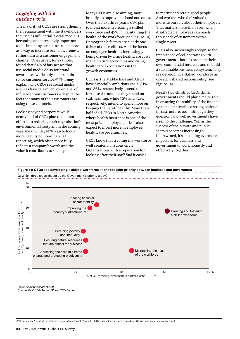#### *Engaging with the outside world*

The majority of CEOs are strengthening their engagement with the stakeholders they see as influential. Social media is becoming an increasingly important tool – but many businesses see it more as a way to increase brand awareness, rather than as a customer engagement channel. One survey, for example, found that 64% of businesses that use social media do so for brand awareness, while only a quarter do so for customer service.<sup>29</sup> This may explain why CEOs see social media users as having a much lower level of influence than customers – despite the fact that many of their customers are using these channels.

Looking beyond corporate walls, nearly half of CEOs plan to put more effort into reducing their organisation's environmental footprint in the coming year. Meanwhile, 41% plan to focus more heavily on non-financial reporting, which often more fully reflects a company's worth and the value it contributes to society.

Many CEOs are also aiming, more broadly, to improve national outcomes. Over the next three years, 61% plan to invest more in creating a skilled workforce and 45% in maintaining the health of the workforce (see Figure 14). Demographic factors are clearly one driver of these efforts. And the focus on employee health is increasingly being driven by rising healthcare costs in the mature economies and rising healthcare expectations in the growth economies.

CEOs in the Middle East and Africa have especially ambitious goals: 81% and 86%, respectively, intend to increase the amount they spend on staff training, while 75% and 72%, respectively, intend to spend more on keeping their staff healthy. More than half of all CEOs in North America – where health insurance is one of the most prized employee perks – also expect to invest more in employee healthcare programmes.

CEOs know that treating the workforce well creates a virtuous circle. Organisations with a reputation for looking after their staff find it easier

to recruit and retain good people. And workers who feel valued talk more favourably about their employer. That matters more than ever, when disaffected employees can reach thousands of customers with a single tweet.

CEOs also increasingly recognise the importance of collaborating with government – both to promote their own commercial interests and to build a sustainable business ecosystem. They see developing a skilled workforce as one such shared responsibility (see Figure 14).

Nearly two-thirds of CEOs think governments should play a major role in ensuring the stability of the financial system and creating a strong national infrastructure, too – although they question how well governments have risen to the challenge. Yet, as the success of the private and public sectors becomes increasingly intertwined, it's becoming evermore important for business and government to work honestly and effectively together.

**Figure 14: CEOs see developing a skilled workforce as the top joint priority between business and government**



*Base: All respondents (1,330) Source: PwC 16th Annual Global CEO Survey*

29 Econsultancy, 'Social Media Statistics Compendium, Global' (November 2012). Marketers were asked to indicate the two most important uses of social.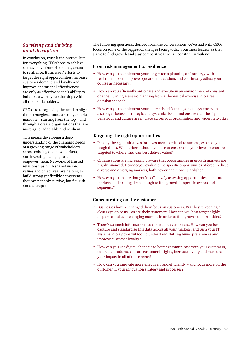#### *Surviving and thriving amid disruption*

In conclusion, trust is the prerequisite for everything CEOs hope to achieve as they move from risk management to resilience. Businesses' efforts to target the right opportunities, increase customer demand and loyalty and improve operational effectiveness are only as effective as their ability to build trustworthy relationships with all their stakeholders.

CEOs are recognising the need to align their strategies around a stronger social mandate – starting from the top – and through it create organisations that are more agile, adaptable and resilient.

This means developing a deep understanding of the changing needs of a growing range of stakeholders across existing and new markets, and investing to engage and empower them. Networks of trusted relationships, with shared vision, values and objectives, are helping to build strong yet flexible ecosystems that can not only survive, but flourish amid disruption.

The following questions, derived from the conversations we've had with CEOs, focus on some of the biggest challenges facing today's business leaders as they strive to find growth and stay competitive through constant turbulence.

#### **From risk management to resilience**

- How can you complement your longer term planning and strategy with real-time tools to improve operational decisions and continually adjust your course as necessary?
- How can you efficiently anticipate and execute in an environment of constant change, turning scenario planning from a theoretical exercise into a real decision shaper?
- How can you complement your enterprise risk management systems with a stronger focus on strategic and systemic risks – and ensure that the right behaviour and culture are in place across your organisation and wider networks?

#### **Targeting the right opportunities**

- Picking the right initiatives for investment is critical to success, especially in tough times. What criteria should you use to ensure that your investments are targeted to where they can best deliver value?
- Organisations are increasingly aware that opportunities in growth markets are highly nuanced. How do you evaluate the specific opportunities offered in these diverse and diverging markets, both newer and more established?
- How can you ensure that you're effectively assessing opportunities in mature markets, and drilling deep enough to find growth in specific sectors and segments?

#### **Concentrating on the customer**

- Businesses haven't changed their focus on customers. But they're keeping a closer eye on costs – as are their customers. How can you best target highly disparate and ever-changing markets in order to find growth opportunities?
- There's so much information out there about customers. How can you best capture and standardise this data across all your markets, and turn your IT systems into a powerful tool to understand shifting buyer preferences and improve customer loyalty?
- How can you use digital channels to better communicate with your customers, co-create products, capture customer insights, increase loyalty and measure your impact in all of these areas?
- How can you innovate more effectively and efficiently and focus more on the customer in your innovation strategy and processes?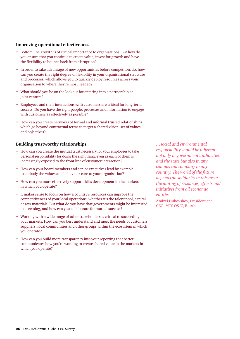#### **Improving operational effectiveness**

- Bottom line growth is of critical importance to organisations. But how do you ensure that you continue to create value, invest for growth and have the flexibility to bounce back from disruption?
- In order to take advantage of new opportunities before competitors do, how can you create the right degree of flexibility in your organisational structure and processes, which allows you to quickly deploy resources across your organisation to where they're most needed?
- What should you be on the lookout for entering into a partnership or joint venture?
- Employees and their interactions with customers are critical for long-term success. Do you have the right people, processes and information to engage with customers as effectively as possible?
- How can you create networks of formal and informal trusted relationships which go beyond contractual terms to target a shared vision, set of values and objectives?

#### **Building trustworthy relationships**

- How can you create the mutual trust necessary for your employees to take personal responsibility for doing the right thing, even as each of them is increasingly exposed to the front line of customer interaction?
- How can your board members and senior executives lead by example, to embody the values and behaviour core to your organisation?
- How can you more effectively support skills development in the markets in which you operate?
- It makes sense to focus on how a country's resources can improve the competitiveness of your local operations, whether it's the talent pool, capital or raw materials. But what do you have that governments might be interested in accessing, and how can you collaborate for mutual success?
- Working with a wide range of other stakeholders is critical to succeeding in your markets. How can you best understand and meet the needs of customers, suppliers, local communities and other groups within the ecosystem in which you operate?
- How can you build more transparency into your reporting that better communicates how you're working to create shared value in the markets in which you operate?

*…social and environmental responsibility should be inherent not only in government authorities and the state but also in any commercial company in any country. The world of the future depends on solidarity in this area: the uniting of resources, efforts and initiatives from all economic entities.*

**Andrei Dubovskov,** President and CEO, MTS OSJC, Russia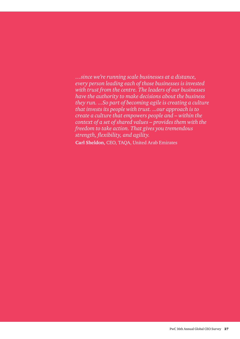*…since we're running scale businesses at a distance, every person leading each of those businesses is invested with trust from the centre. The leaders of our businesses have the authority to make decisions about the business they run. ...So part of becoming agile is creating a culture that invests its people with trust. ...our approach is to create a culture that empowers people and – within the context of a set of shared values – provides them with the freedom to take action. That gives you tremendous strength, flexibility, and agility.*

**Carl Sheldon,** CEO, TAQA, United Arab Emirates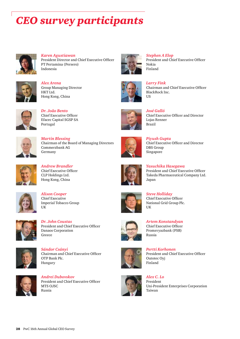# *CEO survey participants*



*Karen Agustiawan* President Director and Chief Executive Officer PT Pertamina (Persero) Indonesia



*Alex Arena* Group Managing Director HKT Ltd. Hong Kong, China



*Dr. João Bento* Chief Executive Officer Efacec Capital SGSP SA Portugal



*Martin Blessing* Chairman of the Board of Managing Directors Commerzbank AG Germany



*Andrew Brandler* Chief Executive Officer CLP Holdings Ltd. Hong Kong, China



*Alison Cooper* Chief Executive Imperial Tobacco Group UK



*Dr. John Coustas* President and Chief Executive Officer Danaos Corporation Greece



*Sándor Csányi* Chairman and Chief Executive Officer OTP Bank Plc. Hungary



*Andrei Dubovskov* President and Chief Executive Officer MTS OJSC Russia



*Stephen A Elop* President and Chief Executive Officer Nokia Finland



*Larry Fink*  Chairman and Chief Executive Officer BlackRock Inc. US



*José Galló* Chief Executive Officer and Director Lojas Renner Brazil



*Piyush Gupta* Chief Executive Officer and Director DBS Group Singapore



*Yasuchika Hasegawa* President and Chief Executive Officer Takeda Pharmaceutical Company Ltd.



*Steve Holliday* Chief Executive Officer National Grid Group Plc. UK

Japan



*Artem Konstandyan* Chief Executive Officer Promsvyazbank (PSB) Russia



*Pertti Korhonen* President and Chief Executive Officer Outotec Oyj Finland



*Alex C. Lo* President Uni-President Enterprises Corporation Taiwan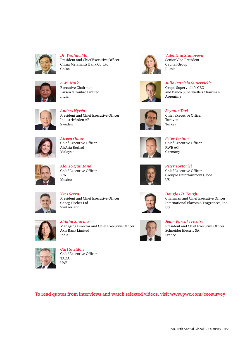

*Dr. Weihua Ma* President and Chief Executive Officer China Merchants Bank Co. Ltd. China



*A.M. Naik* Executive Chairman Larsen & Toubro Limited India



*Anders Nyrén* President and Chief Executive Officer Industrivärden AB Sweden



*Aireen Omar* Chief Executive Officer AirAsia Berhad Malaysia



*Alonso Quintana* Chief Executive Officer ICA Mexico



*Yves Serra* President and Chief Executive Officer Georg Fischer Ltd. Switzerland



*Shikha Sharma* Managing Director and Chief Executive Officer Axis Bank Limited India



*Carl Sheldon* Chief Executive Officer TAQA UAE



*Valentina Stanovova* Senior Vice-President Capital Group Russia



*Julio Patricio Supervielle* Grupo Supervielle's CEO and Banco Supervielle's Chairman Argentina



*Seymur Tari* Chief Executive Officer Turkven Turkey



*Peter Terium* Chief Executive Officer RWE AG Germany



*Peter Tortorici* Chief Executive Officer GroupM Entertainment Global US



*Douglas D. Tough* Chairman and Chief Executive Officer International Flavors & Fragrances, Inc. US



*Jean- Pascal Tricoire* President and Chief Executive Officer Schneider Electric SA France

**To read quotes from interviews and watch selected videos, visit www.pwc.com/ceosurvey**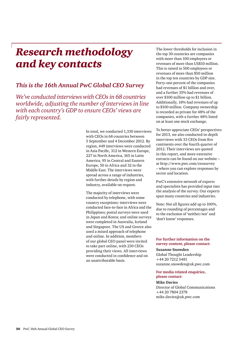### *Research methodology and key contacts*

### *This is the 16th Annual PwC Global CEO Survey*

*We've conducted interviews with CEOs in 68 countries worldwide, adjusting the number of interviews in line with each country's GDP to ensure CEOs' views are fairly represented.*

> In total, we conducted 1,330 interviews with CEOs in 68 countries between 5 September and 4 December 2012. By region, 449 interviews were conducted in Asia Pacific, 312 in Western Europe, 227 in North America, 165 in Latin America, 95 in Central and Eastern Europe, 50 in Africa and 32 in the Middle East. The interviews were spread across a range of industries, with further details by region and industry, available on request.

> The majority of interviews were conducted by telephone, with some country exceptions: interviews were conducted face-to-face in Africa and the Philippines; postal surveys were used in Japan and Korea; and online surveys were completed in Australia, Iceland and Singapore. The US and Greece also used a mixed approach of telephone and online. In addition, members of our global CEO panel were invited to take part online, with 230 CEOs providing their views. All interviews were conducted in confidence and on an unattributable basis.

The lower thresholds for inclusion in the top 30 countries are companies with more than 100 employees or revenues of more than US\$10 million. This is raised to 500 employees or revenues of more than \$50 million in the top ten countries by GDP size. Forty-one percent of the companies had revenues of \$1 billion and over, and a further 35% had revenues of over \$100 million up to \$1 billion. Additionally, 18% had revenues of up to \$100 million. Company ownership is recorded as private for 48% of the companies, with a further 48% listed on at least one stock exchange.

To better appreciate CEOs' perspectives for 2013, we also conducted in-depth interviews with 33 CEOs from five continents over the fourth quarter of 2012. Their interviews are quoted in this report, and more extensive extracts can be found on our website – at http://www.pwc.com/ceosurvey – where you can explore responses by sector and location.

PwC's extensive network of experts and specialists has provided input into the analysis of the survey. Our experts span many countries and industries.

Note: Not all figures add up to 100%, due to rounding of percentages and to the exclusion of 'neither/nor' and 'don't know' responses.

#### **For further information on the survey content, please contact:**

#### **Suzanne Snowden**

Global Thought Leadership +44 20 7212 5481 suzanne.snowden@uk.pwc.com

#### **For media related enquiries, please contact:**

#### **Mike Davies**

Director of Global Communications +44 20 7804 2378 mike.davies@uk.pwc.com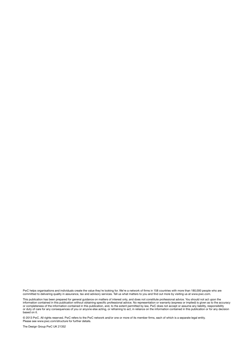PwC helps organisations and individuals create the value they're looking for. We're a network of firms in 158 countries with more than 180,000 people who are committed to delivering quality in assurance, tax and advisory services. Tell us what matters to you and find out more by visiting us at www.pwc.com.

This publication has been prepared for general guidance on matters of interest only, and does not constitute professional advice. You should not act upon the information contained in this publication without obtaining specific professional advice. No representation or warranty (express or implied) is given as to the accuracy or completeness of the information contained in this publication, and, to the extent permitted by law, PwC does not accept or assume any liability, responsibility or duty of care for any consequences of you or anyone else acting, or refraining to act, in reliance on the information contained in this publication or for any decision based on it.

© 2013 PwC. All rights reserved. PwC refers to the PwC network and/or one or more of its member firms, each of which is a separate legal entity. Please see www.pwc.com/structure for further details.